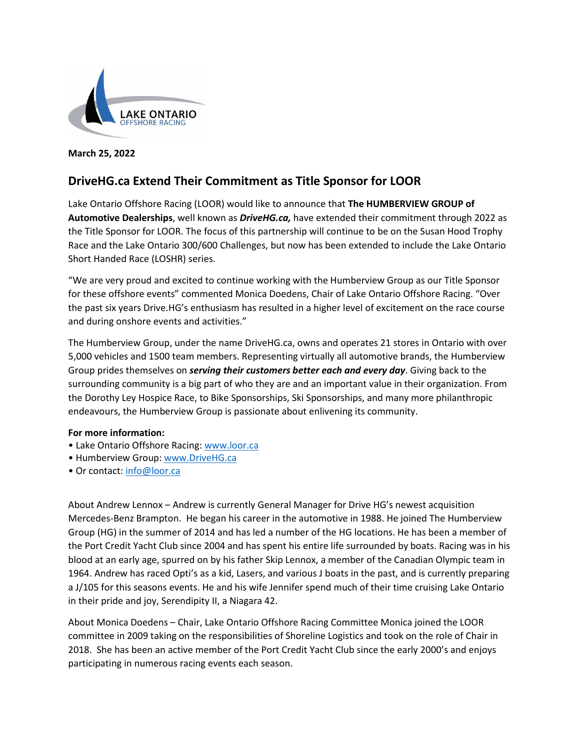

**March 25, 2022**

## **DriveHG.ca Extend Their Commitment as Title Sponsor for LOOR**

Lake Ontario Offshore Racing (LOOR) would like to announce that **The HUMBERVIEW GROUP of Automotive Dealerships**, well known as *DriveHG.ca,* have extended their commitment through 2022 as the Title Sponsor for LOOR. The focus of this partnership will continue to be on the Susan Hood Trophy Race and the Lake Ontario 300/600 Challenges, but now has been extended to include the Lake Ontario Short Handed Race (LOSHR) series.

"We are very proud and excited to continue working with the Humberview Group as our Title Sponsor for these offshore events" commented Monica Doedens, Chair of Lake Ontario Offshore Racing. "Over the past six years Drive.HG's enthusiasm has resulted in a higher level of excitement on the race course and during onshore events and activities."

The Humberview Group, under the name DriveHG.ca, owns and operates 21 stores in Ontario with over 5,000 vehicles and 1500 team members. Representing virtually all automotive brands, the Humberview Group prides themselves on *serving their customers better each and every day*. Giving back to the surrounding community is a big part of who they are and an important value in their organization. From the Dorothy Ley Hospice Race, to Bike Sponsorships, Ski Sponsorships, and many more philanthropic endeavours, the Humberview Group is passionate about enlivening its community.

## **For more information:**

- Lake Ontario Offshore Racing: [www.loor.ca](http://www.loor.ca/)
- Humberview Group: [www.DriveHG.ca](http://www.drivehg.ca/)
- Or contact: [info@loor.ca](mailto:info@loor.ca)

About Andrew Lennox – Andrew is currently General Manager for Drive HG's newest acquisition Mercedes-Benz Brampton. He began his career in the automotive in 1988. He joined The Humberview Group (HG) in the summer of 2014 and has led a number of the HG locations. He has been a member of the Port Credit Yacht Club since 2004 and has spent his entire life surrounded by boats. Racing was in his blood at an early age, spurred on by his father Skip Lennox, a member of the Canadian Olympic team in 1964. Andrew has raced Opti's as a kid, Lasers, and various J boats in the past, and is currently preparing a J/105 for this seasons events. He and his wife Jennifer spend much of their time cruising Lake Ontario in their pride and joy, Serendipity II, a Niagara 42.

About Monica Doedens – Chair, Lake Ontario Offshore Racing Committee Monica joined the LOOR committee in 2009 taking on the responsibilities of Shoreline Logistics and took on the role of Chair in 2018. She has been an active member of the Port Credit Yacht Club since the early 2000's and enjoys participating in numerous racing events each season.